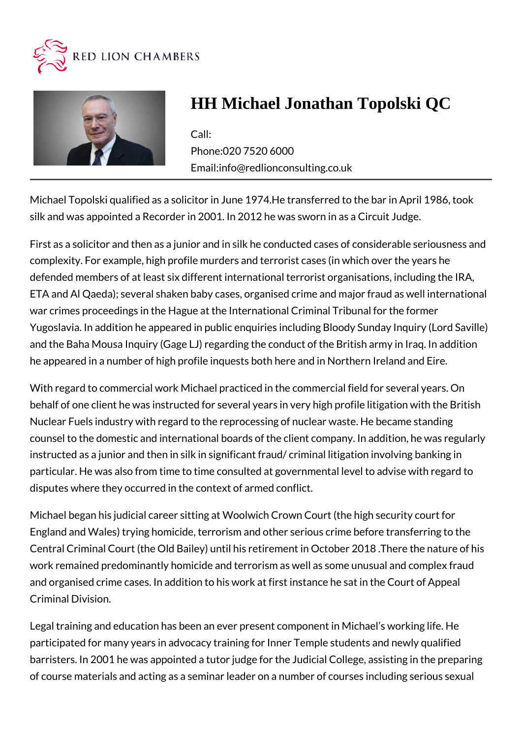



## **HH Michael Jonathan Topolski QC**

Call: Phone:020 7520 6000 Email:info@redlionconsulting.co.uk

Michael Topolski qualified as a solicitor in June 1974.He transferred to the bar in April 1986, took silk and was appointed a Recorder in 2001. In 2012 he was sworn in as a Circuit Judge.

First as a solicitor and then as a junior and in silk he conducted cases of considerable seriousness and complexity. For example, high profile murders and terrorist cases (in which over the years he defended members of at least six different international terrorist organisations, including the IRA, ETA and Al Qaeda); several shaken baby cases, organised crime and major fraud as well international war crimes proceedings in the Hague at the International Criminal Tribunal for the former Yugoslavia. In addition he appeared in public enquiries including Bloody Sunday Inquiry (Lord Saville) and the Baha Mousa Inquiry (Gage LJ) regarding the conduct of the British army in Iraq. In addition he appeared in a number of high profile inquests both here and in Northern Ireland and Eire.

With regard to commercial work Michael practiced in the commercial field for several years. On behalf of one client he was instructed for several years in very high profile litigation with the British Nuclear Fuels industry with regard to the reprocessing of nuclear waste. He became standing counsel to the domestic and international boards of the client company. In addition, he was regularly instructed as a junior and then in silk in significant fraud/ criminal litigation involving banking in particular. He was also from time to time consulted at governmental level to advise with regard to disputes where they occurred in the context of armed conflict.

Michael began his judicial career sitting at Woolwich Crown Court (the high security court for England and Wales) trying homicide, terrorism and other serious crime before transferring to the Central Criminal Court (the Old Bailey) until his retirement in October 2018 .There the nature of his work remained predominantly homicide and terrorism as well as some unusual and complex fraud and organised crime cases. In addition to his work at first instance he sat in the Court of Appeal Criminal Division.

Legal training and education has been an ever present component in Michael's working life. He participated for many years in advocacy training for Inner Temple students and newly qualified barristers. In 2001 he was appointed a tutor judge for the Judicial College, assisting in the preparing of course materials and acting as a seminar leader on a number of courses including serious sexual